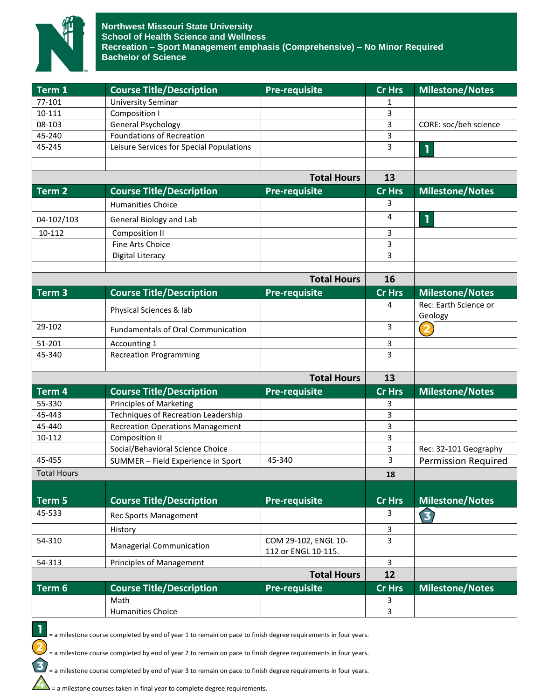

| Term 1             | <b>Course Title/Description</b>            | <b>Pre-requisite</b>                        | Cr Hrs         | <b>Milestone/Notes</b>     |
|--------------------|--------------------------------------------|---------------------------------------------|----------------|----------------------------|
| 77-101             | <b>University Seminar</b>                  |                                             | 1              |                            |
| 10-111             | Composition I                              |                                             | 3              |                            |
| 08-103             | <b>General Psychology</b>                  |                                             | 3              | CORE: soc/beh science      |
| 45-240             | <b>Foundations of Recreation</b>           |                                             | 3              |                            |
| 45-245             | Leisure Services for Special Populations   |                                             | 3              | T                          |
|                    |                                            |                                             |                |                            |
|                    |                                            | <b>Total Hours</b>                          | 13             |                            |
| Term <sub>2</sub>  | <b>Course Title/Description</b>            | <b>Pre-requisite</b>                        | <b>Cr Hrs</b>  | <b>Milestone/Notes</b>     |
|                    | <b>Humanities Choice</b>                   |                                             | 3              |                            |
| 04-102/103         | General Biology and Lab                    |                                             | 4              | $\mathbf{1}$               |
| 10-112             | Composition II                             |                                             | 3              |                            |
|                    | <b>Fine Arts Choice</b>                    |                                             | 3              |                            |
|                    | Digital Literacy                           |                                             | 3              |                            |
|                    |                                            | <b>Total Hours</b>                          | 16             |                            |
| Term <sub>3</sub>  | <b>Course Title/Description</b>            | <b>Pre-requisite</b>                        | <b>Cr Hrs</b>  | <b>Milestone/Notes</b>     |
|                    |                                            |                                             | 4              | Rec: Earth Science or      |
|                    | Physical Sciences & lab                    |                                             |                | Geology                    |
| 29-102             | <b>Fundamentals of Oral Communication</b>  |                                             | 3              | $\overline{\mathbf{2}}$    |
| 51-201             | Accounting 1                               |                                             | 3              |                            |
| 45-340             | <b>Recreation Programming</b>              |                                             | 3              |                            |
|                    |                                            | <b>Total Hours</b>                          | 13             |                            |
| Term 4             | <b>Course Title/Description</b>            |                                             | Cr Hrs         | <b>Milestone/Notes</b>     |
| 55-330             | Principles of Marketing                    | <b>Pre-requisite</b>                        |                |                            |
| 45-443             | <b>Techniques of Recreation Leadership</b> |                                             | 3<br>3         |                            |
| 45-440             | <b>Recreation Operations Management</b>    |                                             | 3              |                            |
| 10-112             | Composition II                             |                                             | 3              |                            |
|                    | Social/Behavioral Science Choice           |                                             | 3              | Rec: 32-101 Geography      |
| 45-455             | SUMMER - Field Experience in Sport         | 45-340                                      | 3              | <b>Permission Required</b> |
| <b>Total Hours</b> |                                            |                                             | 18             |                            |
|                    |                                            |                                             |                |                            |
| Term 5             | <b>Course Title/Description</b>            | <b>Pre-requisite</b>                        | <b>Cr Hrs</b>  | <b>Milestone/Notes</b>     |
| 45-533             | <b>Rec Sports Management</b>               |                                             | 3              | 3                          |
|                    | History                                    |                                             | 3              |                            |
| 54-310             | Managerial Communication                   | COM 29-102, ENGL 10-<br>112 or ENGL 10-115. | 3              |                            |
| 54-313             | Principles of Management                   |                                             | $\overline{3}$ |                            |
|                    |                                            | <b>Total Hours</b>                          | 12             |                            |
| Term 6             | <b>Course Title/Description</b>            | <b>Pre-requisite</b>                        | Cr Hrs         | <b>Milestone/Notes</b>     |
|                    | Math                                       |                                             | 3              |                            |
|                    | <b>Humanities Choice</b>                   |                                             | 3              |                            |

= a milestone course completed by end of year 1 to remain on pace to finish degree requirements in four years.

= a milestone course completed by end of year 2 to remain on pace to finish degree requirements in four years.

= a milestone course completed by end of year 3 to remain on pace to finish degree requirements in four years.

= a milestone courses taken in final year to complete degree requirements.

1

 $\overline{\mathbf{c}}$ 

3)

 $\Delta$